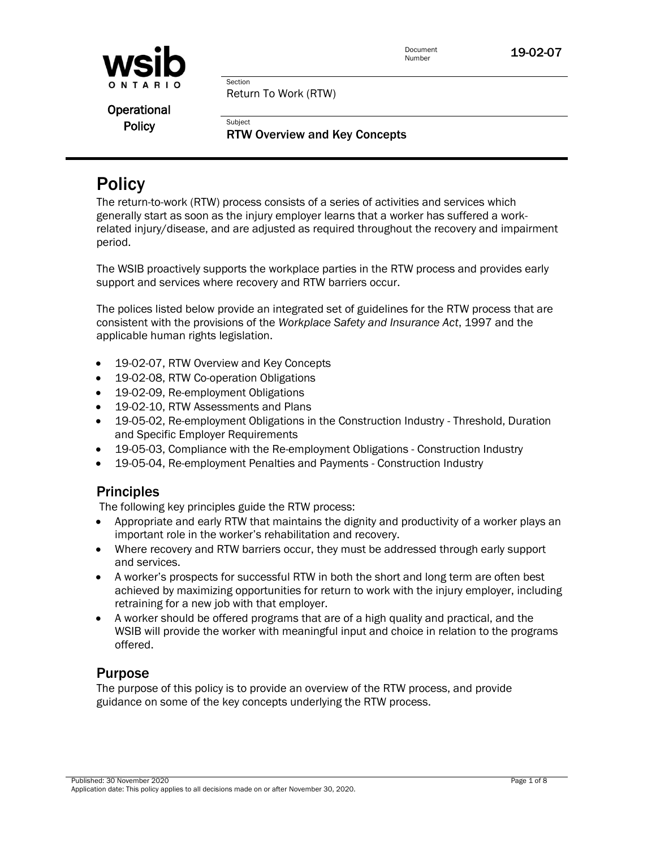

Return To Work (RTW)

Section

**Subject** 

Operational **Policy** 

RTW Overview and Key Concepts

# **Policy**

The return-to-work (RTW) process consists of a series of activities and services which generally start as soon as the injury employer learns that a worker has suffered a workrelated injury/disease, and are adjusted as required throughout the recovery and impairment period.

The WSIB proactively supports the workplace parties in the RTW process and provides early support and services where recovery and RTW barriers occur.

The polices listed below provide an integrated set of guidelines for the RTW process that are consistent with the provisions of the *Workplace Safety and Insurance Act*, 1997 and the applicable human rights legislation.

- 19-02-07, RTW Overview and Key Concepts
- 19-02-08, RTW Co-operation Obligations
- 19-02-09, Re-employment Obligations
- 19-02-10, RTW Assessments and Plans
- 19-05-02, Re-employment Obligations in the Construction Industry Threshold, Duration and Specific Employer Requirements
- 19-05-03, Compliance with the Re-employment Obligations Construction Industry
- 19-05-04, Re-employment Penalties and Payments Construction Industry

# **Principles**

The following key principles guide the RTW process:

- Appropriate and early RTW that maintains the dignity and productivity of a worker plays an important role in the worker's rehabilitation and recovery.
- Where recovery and RTW barriers occur, they must be addressed through early support and services.
- A worker's prospects for successful RTW in both the short and long term are often best achieved by maximizing opportunities for return to work with the injury employer, including retraining for a new job with that employer.
- A worker should be offered programs that are of a high quality and practical, and the WSIB will provide the worker with meaningful input and choice in relation to the programs offered.

# **Purpose**

The purpose of this policy is to provide an overview of the RTW process, and provide guidance on some of the key concepts underlying the RTW process.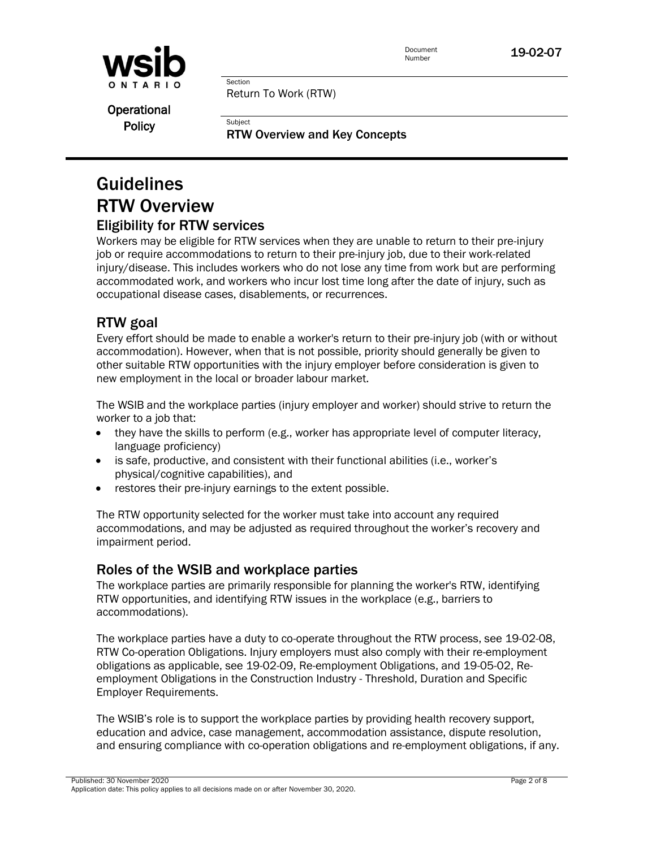

Return To Work (RTW)

Section

**Subject** 

Operational **Policy** 

RTW Overview and Key Concepts

# Guidelines RTW Overview

# Eligibility for RTW services

Workers may be eligible for RTW services when they are unable to return to their pre-injury job or require accommodations to return to their pre-injury job, due to their work-related injury/disease. This includes workers who do not lose any time from work but are performing accommodated work, and workers who incur lost time long after the date of injury, such as occupational disease cases, disablements, or recurrences.

# RTW goal

Every effort should be made to enable a worker's return to their pre-injury job (with or without accommodation). However, when that is not possible, priority should generally be given to other suitable RTW opportunities with the injury employer before consideration is given to new employment in the local or broader labour market.

The WSIB and the workplace parties (injury employer and worker) should strive to return the worker to a job that:

- they have the skills to perform (e.g., worker has appropriate level of computer literacy, language proficiency)
- is safe, productive, and consistent with their functional abilities (i.e., worker's physical/cognitive capabilities), and
- restores their pre-injury earnings to the extent possible.

The RTW opportunity selected for the worker must take into account any required accommodations, and may be adjusted as required throughout the worker's recovery and impairment period.

# Roles of the WSIB and workplace parties

The workplace parties are primarily responsible for planning the worker's RTW, identifying RTW opportunities, and identifying RTW issues in the workplace (e.g., barriers to accommodations).

The workplace parties have a duty to co-operate throughout the RTW process, see 19-02-08, RTW Co-operation Obligations. Injury employers must also comply with their re-employment obligations as applicable, see 19-02-09, Re-employment Obligations, and 19-05-02, Reemployment Obligations in the Construction Industry - Threshold, Duration and Specific Employer Requirements.

The WSIB's role is to support the workplace parties by providing health recovery support, education and advice, case management, accommodation assistance, dispute resolution, and ensuring compliance with co-operation obligations and re-employment obligations, if any.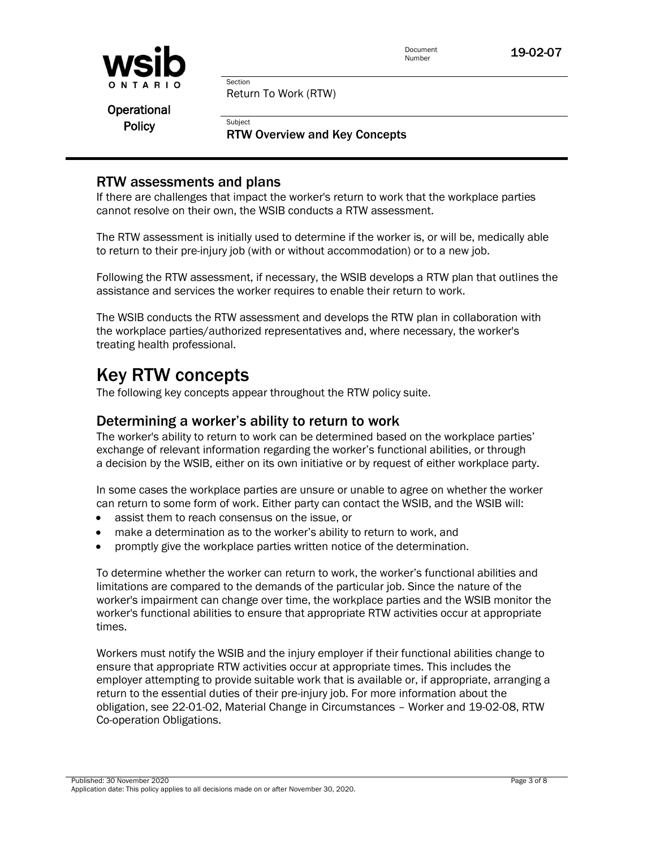

Return To Work (RTW)

Section

**Subject** 

Operational **Policy** 

RTW Overview and Key Concepts

## RTW assessments and plans

If there are challenges that impact the worker's return to work that the workplace parties cannot resolve on their own, the WSIB conducts a RTW assessment.

The RTW assessment is initially used to determine if the worker is, or will be, medically able to return to their pre-injury job (with or without accommodation) or to a new job.

Following the RTW assessment, if necessary, the WSIB develops a RTW plan that outlines the assistance and services the worker requires to enable their return to work.

The WSIB conducts the RTW assessment and develops the RTW plan in collaboration with the workplace parties/authorized representatives and, where necessary, the worker's treating health professional.

# Key RTW concepts

The following key concepts appear throughout the RTW policy suite.

## Determining a worker's ability to return to work

The worker's ability to return to work can be determined based on the workplace parties' exchange of relevant information regarding the worker's functional abilities, or through a decision by the WSIB, either on its own initiative or by request of either workplace party.

In some cases the workplace parties are unsure or unable to agree on whether the worker can return to some form of work. Either party can contact the WSIB, and the WSIB will:

- assist them to reach consensus on the issue, or
- make a determination as to the worker's ability to return to work, and
- promptly give the workplace parties written notice of the determination.

To determine whether the worker can return to work, the worker's functional abilities and limitations are compared to the demands of the particular job. Since the nature of the worker's impairment can change over time, the workplace parties and the WSIB monitor the worker's functional abilities to ensure that appropriate RTW activities occur at appropriate times.

Workers must notify the WSIB and the injury employer if their functional abilities change to ensure that appropriate RTW activities occur at appropriate times. This includes the employer attempting to provide suitable work that is available or, if appropriate, arranging a return to the essential duties of their pre-injury job. For more information about the obligation, see 22-01-02, Material Change in Circumstances – Worker and 19-02-08, RTW Co-operation Obligations.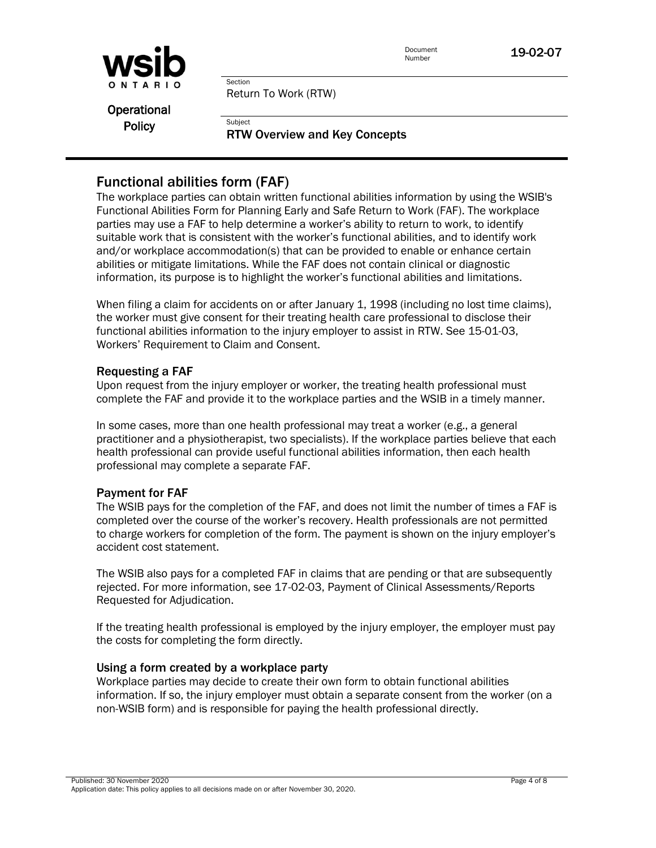

Return To Work (RTW)

Section

**Subject** 

Operational **Policy** 

RTW Overview and Key Concepts

# Functional abilities form (FAF)

The workplace parties can obtain written functional abilities information by using the WSIB's Functional Abilities Form for Planning Early and Safe Return to Work (FAF). The workplace parties may use a FAF to help determine a worker's ability to return to work, to identify suitable work that is consistent with the worker's functional abilities, and to identify work and/or workplace accommodation(s) that can be provided to enable or enhance certain abilities or mitigate limitations. While the FAF does not contain clinical or diagnostic information, its purpose is to highlight the worker's functional abilities and limitations.

When filing a claim for accidents on or after January 1, 1998 (including no lost time claims), the worker must give consent for their treating health care professional to disclose their functional abilities information to the injury employer to assist in RTW. See 15-01-03, Workers' Requirement to Claim and Consent.

#### Requesting a FAF

Upon request from the injury employer or worker, the treating health professional must complete the FAF and provide it to the workplace parties and the WSIB in a timely manner.

In some cases, more than one health professional may treat a worker (e.g., a general practitioner and a physiotherapist, two specialists). If the workplace parties believe that each health professional can provide useful functional abilities information, then each health professional may complete a separate FAF.

### Payment for FAF

The WSIB pays for the completion of the FAF, and does not limit the number of times a FAF is completed over the course of the worker's recovery. Health professionals are not permitted to charge workers for completion of the form. The payment is shown on the injury employer's accident cost statement.

The WSIB also pays for a completed FAF in claims that are pending or that are subsequently rejected. For more information, see 17-02-03, Payment of Clinical Assessments/Reports Requested for Adjudication.

If the treating health professional is employed by the injury employer, the employer must pay the costs for completing the form directly.

#### Using a form created by a workplace party

Workplace parties may decide to create their own form to obtain functional abilities information. If so, the injury employer must obtain a separate consent from the worker (on a non-WSIB form) and is responsible for paying the health professional directly.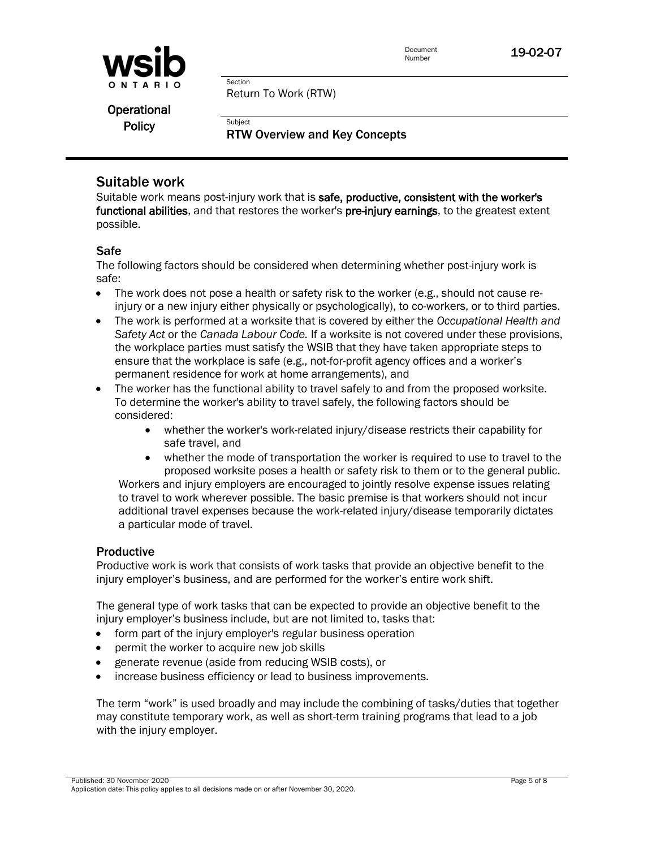

Return To Work (RTW)

Section

**Subject** 

Operational **Policy** 

RTW Overview and Key Concepts

# Suitable work

Suitable work means post-injury work that is safe, productive, consistent with the worker's functional abilities, and that restores the worker's pre-injury earnings, to the greatest extent possible.

### Safe

The following factors should be considered when determining whether post-injury work is safe:

- $\bullet$  The work does not pose a health or safety risk to the worker (e.g., should not cause reinjury or a new injury either physically or psychologically), to co-workers, or to third parties.
- The work is performed at a worksite that is covered by either the *Occupational Health and Safety Act* or the *Canada Labour Code.* If a worksite is not covered under these provisions, the workplace parties must satisfy the WSIB that they have taken appropriate steps to ensure that the workplace is safe (e.g., not-for-profit agency offices and a worker's permanent residence for work at home arrangements), and
- The worker has the functional ability to travel safely to and from the proposed worksite. To determine the worker's ability to travel safely, the following factors should be considered:
	- whether the worker's work-related injury/disease restricts their capability for safe travel, and
	- whether the mode of transportation the worker is required to use to travel to the proposed worksite poses a health or safety risk to them or to the general public.

Workers and injury employers are encouraged to jointly resolve expense issues relating to travel to work wherever possible. The basic premise is that workers should not incur additional travel expenses because the work-related injury/disease temporarily dictates a particular mode of travel.

### Productive

Productive work is work that consists of work tasks that provide an objective benefit to the injury employer's business, and are performed for the worker's entire work shift.

The general type of work tasks that can be expected to provide an objective benefit to the injury employer's business include, but are not limited to, tasks that:

- form part of the injury employer's regular business operation
- permit the worker to acquire new job skills
- generate revenue (aside from reducing WSIB costs), or
- increase business efficiency or lead to business improvements.

The term "work" is used broadly and may include the combining of tasks/duties that together may constitute temporary work, as well as short-term training programs that lead to a job with the injury employer.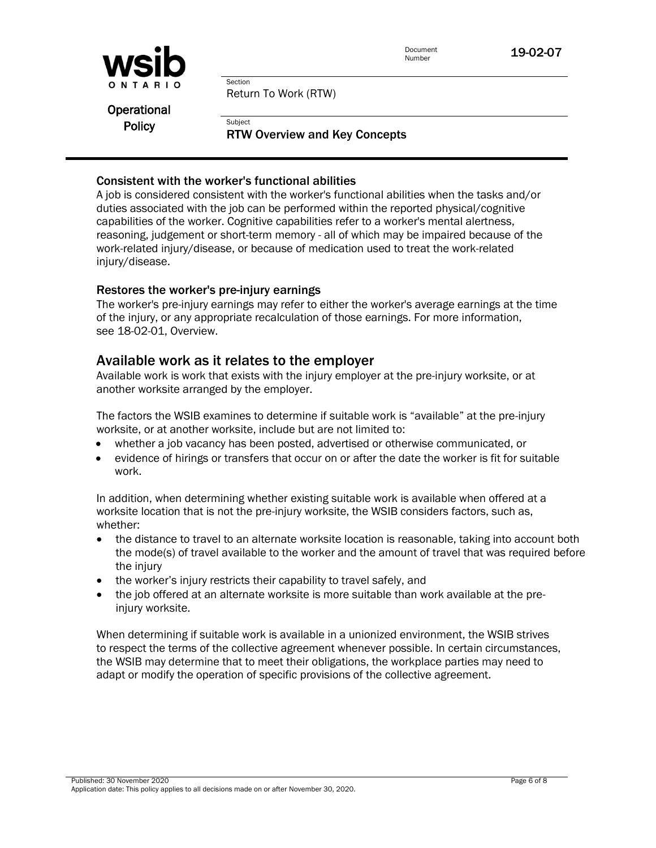

Return To Work (RTW)

Operational **Policy** 

#### RTW Overview and Key Concepts

#### Consistent with the worker's functional abilities

Section

**Subject** 

A job is considered consistent with the worker's functional abilities when the tasks and/or duties associated with the job can be performed within the reported physical/cognitive capabilities of the worker. Cognitive capabilities refer to a worker's mental alertness, reasoning, judgement or short-term memory - all of which may be impaired because of the work-related injury/disease, or because of medication used to treat the work-related injury/disease.

#### Restores the worker's pre-injury earnings

The worker's pre-injury earnings may refer to either the worker's average earnings at the time of the injury, or any appropriate recalculation of those earnings. For more information, see 18-02-01, Overview.

## Available work as it relates to the employer

Available work is work that exists with the injury employer at the pre-injury worksite, or at another worksite arranged by the employer.

The factors the WSIB examines to determine if suitable work is "available" at the pre-injury worksite, or at another worksite, include but are not limited to:

- whether a job vacancy has been posted, advertised or otherwise communicated, or
- evidence of hirings or transfers that occur on or after the date the worker is fit for suitable work.

In addition, when determining whether existing suitable work is available when offered at a worksite location that is not the pre-injury worksite, the WSIB considers factors, such as, whether:

- the distance to travel to an alternate worksite location is reasonable, taking into account both the mode(s) of travel available to the worker and the amount of travel that was required before the injury
- the worker's injury restricts their capability to travel safely, and
- the job offered at an alternate worksite is more suitable than work available at the preinjury worksite.

When determining if suitable work is available in a unionized environment, the WSIB strives to respect the terms of the collective agreement whenever possible. In certain circumstances, the WSIB may determine that to meet their obligations, the workplace parties may need to adapt or modify the operation of specific provisions of the collective agreement.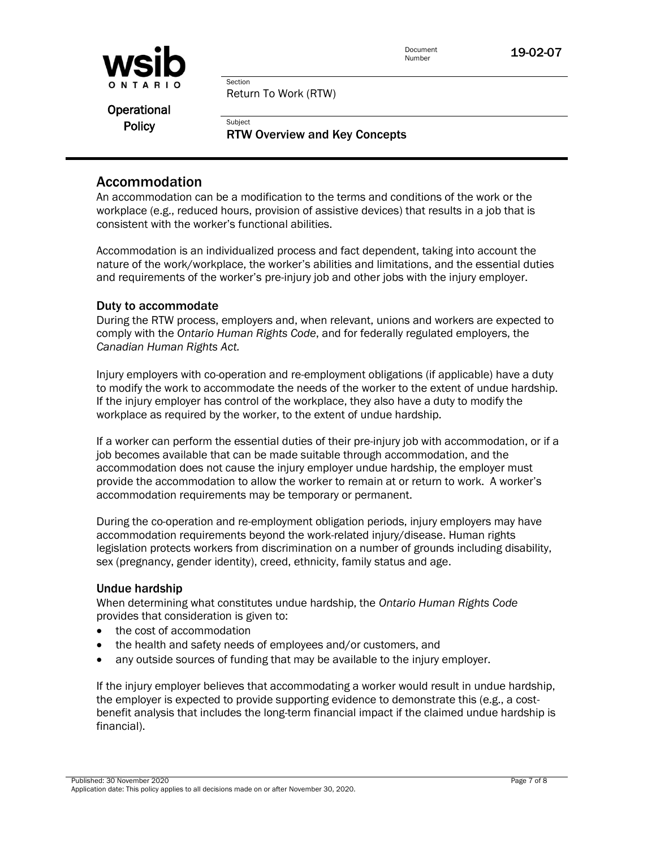

Return To Work (RTW)

Section

**Subject** 

Operational **Policy** 

RTW Overview and Key Concepts

## Accommodation

An accommodation can be a modification to the terms and conditions of the work or the workplace (e.g., reduced hours, provision of assistive devices) that results in a job that is consistent with the worker's functional abilities.

Accommodation is an individualized process and fact dependent, taking into account the nature of the work/workplace, the worker's abilities and limitations, and the essential duties and requirements of the worker's pre-injury job and other jobs with the injury employer.

#### Duty to accommodate

During the RTW process, employers and, when relevant, unions and workers are expected to comply with the *Ontario Human Rights Code*, and for federally regulated employers, the *Canadian Human Rights Act.* 

Injury employers with co-operation and re-employment obligations (if applicable) have a duty to modify the work to accommodate the needs of the worker to the extent of undue hardship. If the injury employer has control of the workplace, they also have a duty to modify the workplace as required by the worker, to the extent of undue hardship.

If a worker can perform the essential duties of their pre-injury job with accommodation, or if a job becomes available that can be made suitable through accommodation, and the accommodation does not cause the injury employer undue hardship, the employer must provide the accommodation to allow the worker to remain at or return to work. A worker's accommodation requirements may be temporary or permanent.

During the co-operation and re-employment obligation periods, injury employers may have accommodation requirements beyond the work-related injury/disease. Human rights legislation protects workers from discrimination on a number of grounds including disability, sex (pregnancy, gender identity), creed, ethnicity, family status and age.

#### Undue hardship

When determining what constitutes undue hardship, the *Ontario Human Rights Code* provides that consideration is given to:

- the cost of accommodation
- the health and safety needs of employees and/or customers, and
- any outside sources of funding that may be available to the injury employer.

If the injury employer believes that accommodating a worker would result in undue hardship, the employer is expected to provide supporting evidence to demonstrate this (e.g., a costbenefit analysis that includes the long-term financial impact if the claimed undue hardship is financial).